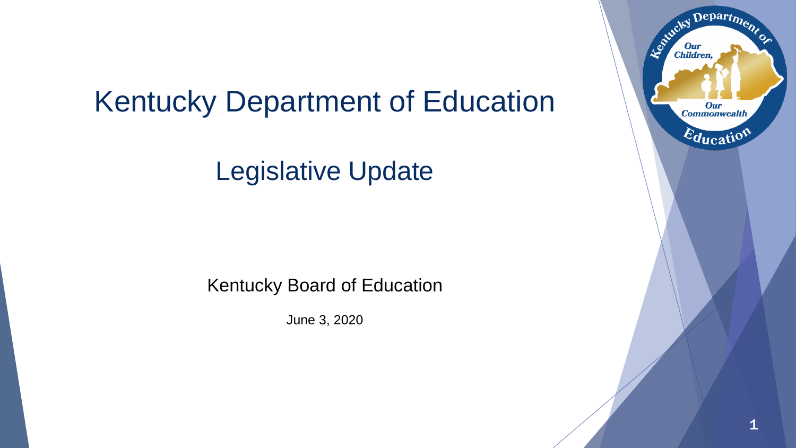# Kentucky Department of Education

Legislative Update

Kentucky Board of Education

June 3, 2020

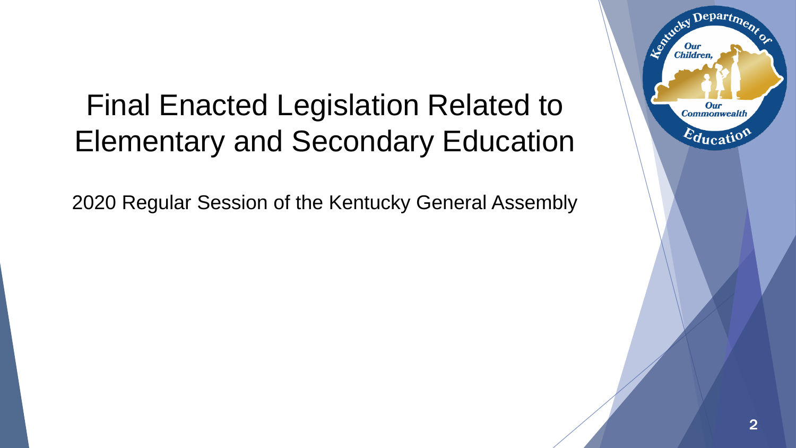# Final Enacted Legislation Related to Elementary and Secondary Education

2020 Regular Session of the Kentucky General Assembly

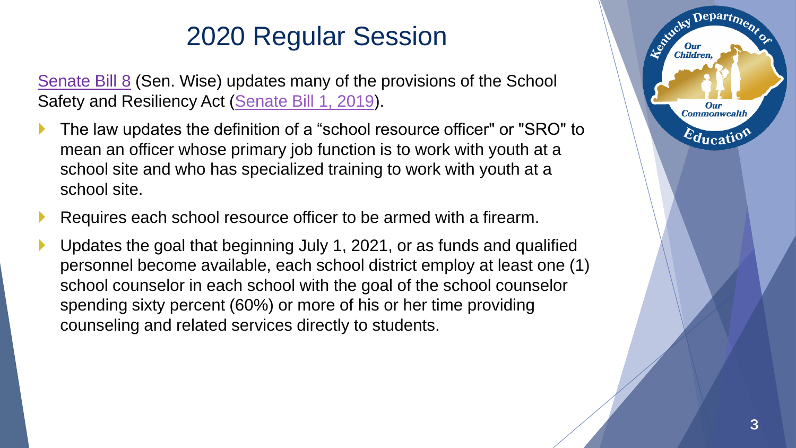[Senate Bill 8](https://apps.legislature.ky.gov/record/20rs/sb8.html) (Sen. Wise) updates many of the provisions of the School Safety and Resiliency Act [\(Senate Bill 1, 2019](https://apps.legislature.ky.gov/record/19rs/sb1.html)).

- The law updates the definition of a "school resource officer" or "SRO" to mean an officer whose primary job function is to work with youth at a school site and who has specialized training to work with youth at a school site.
- Requires each school resource officer to be armed with a firearm.
- Updates the goal that beginning July 1, 2021, or as funds and qualified personnel become available, each school district employ at least one (1) school counselor in each school with the goal of the school counselor spending sixty percent (60%) or more of his or her time providing counseling and related services directly to students.

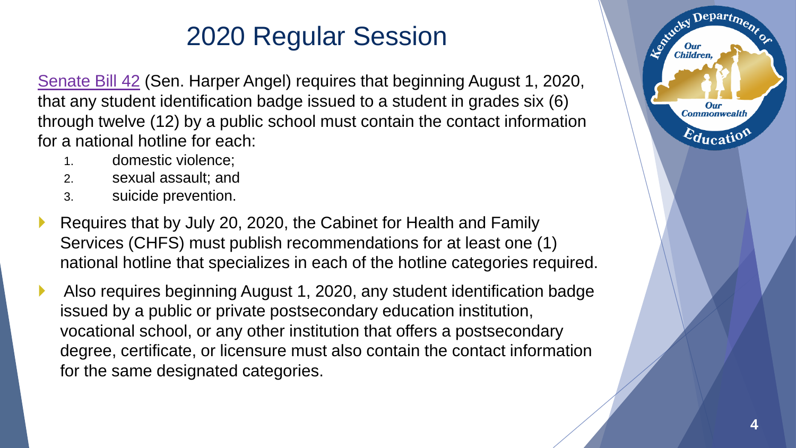[Senate Bill 42](https://apps.legislature.ky.gov/record/20rs/sb42.html) (Sen. Harper Angel) requires that beginning August 1, 2020, that any student identification badge issued to a student in grades six (6) through twelve (12) by a public school must contain the contact information for a national hotline for each:

- 1. domestic violence;
- 2. sexual assault; and
- 3. suicide prevention.
- Requires that by July 20, 2020, the Cabinet for Health and Family Services (CHFS) must publish recommendations for at least one (1) national hotline that specializes in each of the hotline categories required.
- Also requires beginning August 1, 2020, any student identification badge issued by a public or private postsecondary education institution, vocational school, or any other institution that offers a postsecondary degree, certificate, or licensure must also contain the contact information for the same designated categories.



Departme.

Our **Commonwealth** 

 $E_{\text{ducati}}$ 

Le Child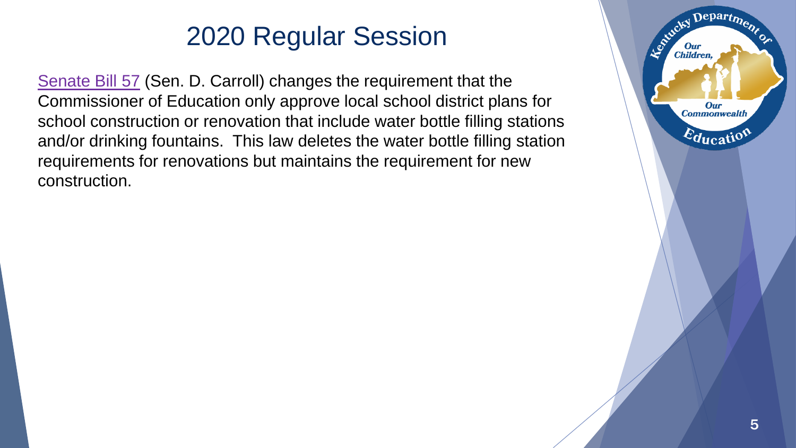[Senate Bill 57](https://apps.legislature.ky.gov/record/20rs/sb57.html) (Sen. D. Carroll) changes the requirement that the Commissioner of Education only approve local school district plans for school construction or renovation that include water bottle filling stations and/or drinking fountains. This law deletes the water bottle filling station requirements for renovations but maintains the requirement for new construction.

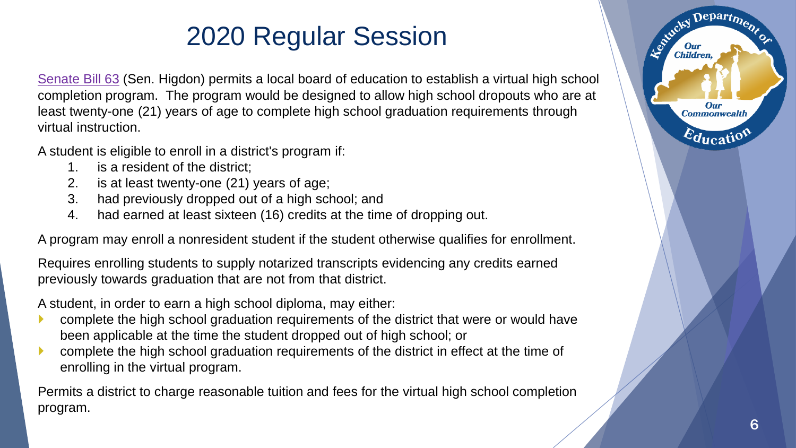[Senate Bill 63](https://apps.legislature.ky.gov/record/20rs/sb63.html) (Sen. Higdon) permits a local board of education to establish a virtual high school completion program. The program would be designed to allow high school dropouts who are at least twenty-one (21) years of age to complete high school graduation requirements through virtual instruction.

A student is eligible to enroll in a district's program if:

- 1. is a resident of the district;
- 2. is at least twenty-one (21) years of age;
- 3. had previously dropped out of a high school; and
- 4. had earned at least sixteen (16) credits at the time of dropping out.

A program may enroll a nonresident student if the student otherwise qualifies for enrollment.

Requires enrolling students to supply notarized transcripts evidencing any credits earned previously towards graduation that are not from that district.

A student, in order to earn a high school diploma, may either:

- complete the high school graduation requirements of the district that were or would have been applicable at the time the student dropped out of high school; or
- complete the high school graduation requirements of the district in effect at the time of enrolling in the virtual program.

Permits a district to charge reasonable tuition and fees for the virtual high school completion program.

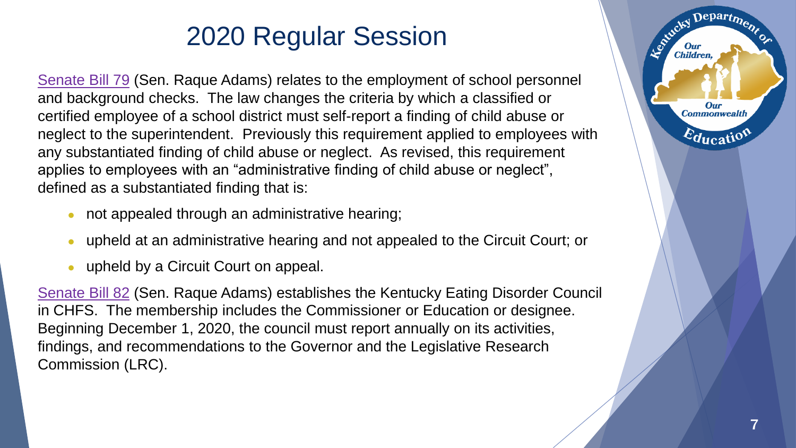[Senate Bill 79](https://apps.legislature.ky.gov/record/20rs/sb79.html) (Sen. Raque Adams) relates to the employment of school personnel and background checks. The law changes the criteria by which a classified or certified employee of a school district must self-report a finding of child abuse or neglect to the superintendent. Previously this requirement applied to employees with any substantiated finding of child abuse or neglect. As revised, this requirement applies to employees with an "administrative finding of child abuse or neglect", defined as a substantiated finding that is:

- not appealed through an administrative hearing;
- upheld at an administrative hearing and not appealed to the Circuit Court; or
- upheld by a Circuit Court on appeal.

[Senate Bill 82](https://apps.legislature.ky.gov/record/20rs/sb82.html) (Sen. Raque Adams) establishes the Kentucky Eating Disorder Council in CHFS. The membership includes the Commissioner or Education or designee. Beginning December 1, 2020, the council must report annually on its activities, findings, and recommendations to the Governor and the Legislative Research Commission (LRC).

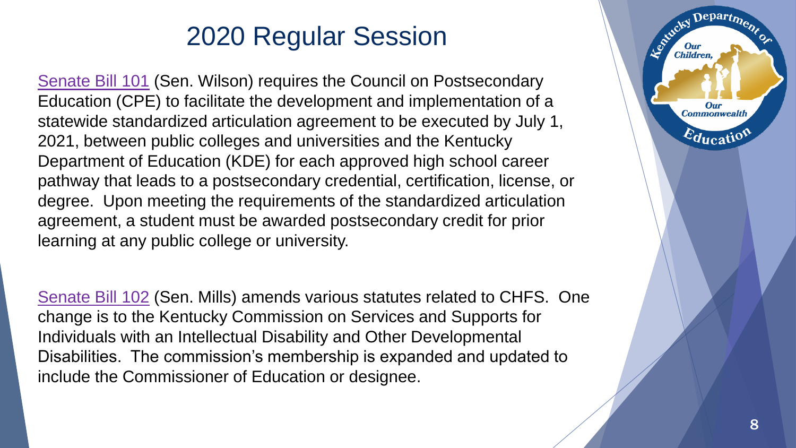[Senate Bill 101](https://apps.legislature.ky.gov/record/20rs/sb101.html) (Sen. Wilson) requires the Council on Postsecondary Education (CPE) to facilitate the development and implementation of a statewide standardized articulation agreement to be executed by July 1, 2021, between public colleges and universities and the Kentucky Department of Education (KDE) for each approved high school career pathway that leads to a postsecondary credential, certification, license, or degree. Upon meeting the requirements of the standardized articulation agreement, a student must be awarded postsecondary credit for prior learning at any public college or university.

[Senate Bill 102](https://apps.legislature.ky.gov/record/20rs/sb102.html) (Sen. Mills) amends various statutes related to CHFS. One change is to the Kentucky Commission on Services and Supports for Individuals with an Intellectual Disability and Other Developmental Disabilities. The commission's membership is expanded and updated to include the Commissioner of Education or designee.

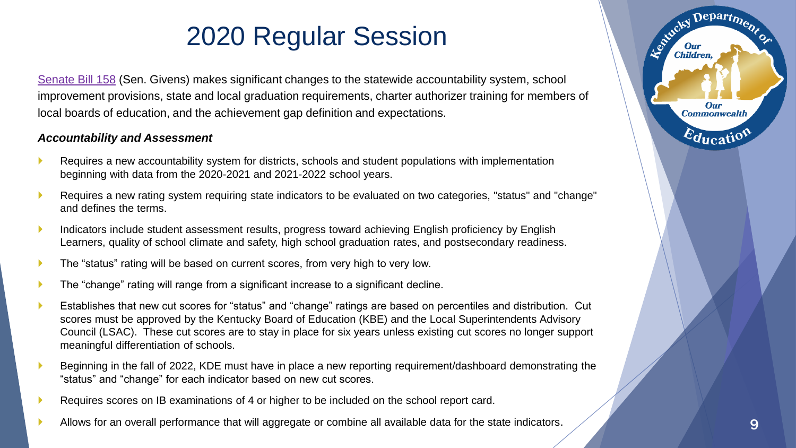[Senate Bill 158](https://apps.legislature.ky.gov/record/20rs/sb158.html) (Sen. Givens) makes significant changes to the statewide accountability system, school improvement provisions, state and local graduation requirements, charter authorizer training for members of local boards of education, and the achievement gap definition and expectations.

#### *Accountability and Assessment*

- Requires a new accountability system for districts, schools and student populations with implementation beginning with data from the 2020-2021 and 2021-2022 school years.
- Requires a new rating system requiring state indicators to be evaluated on two categories, "status" and "change" and defines the terms.
- **Indicators include student assessment results, progress toward achieving English proficiency by English** Learners, quality of school climate and safety, high school graduation rates, and postsecondary readiness.
- The "status" rating will be based on current scores, from very high to very low.
- The "change" rating will range from a significant increase to a significant decline.
- Establishes that new cut scores for "status" and "change" ratings are based on percentiles and distribution. Cut scores must be approved by the Kentucky Board of Education (KBE) and the Local Superintendents Advisory Council (LSAC). These cut scores are to stay in place for six years unless existing cut scores no longer support meaningful differentiation of schools.
- Beginning in the fall of 2022, KDE must have in place a new reporting requirement/dashboard demonstrating the "status" and "change" for each indicator based on new cut scores.
- Requires scores on IB examinations of 4 or higher to be included on the school report card.
- Allows for an overall performance that will aggregate or combine all available data for the state indicators. Allows for an overall performance that will aggregate or combine all available data for the state indicators.

Departme.

Our **Commonwealth** 

 $E_{\text{ducati}}$ 

Estucky I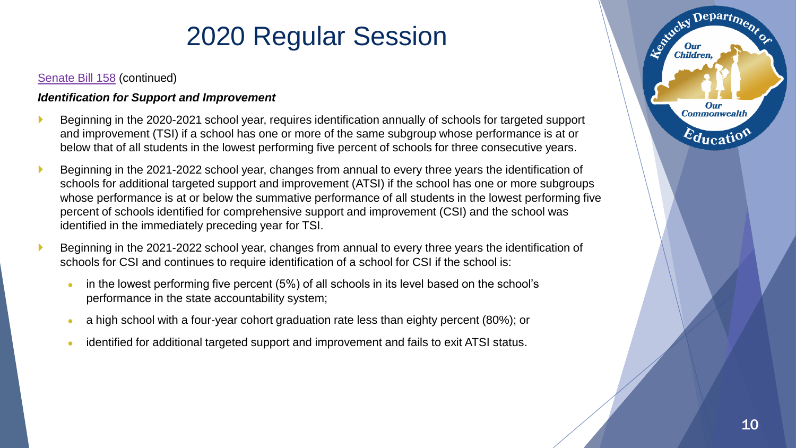#### [Senate Bill 158](https://apps.legislature.ky.gov/record/20rs/sb158.html) (continued)

#### *Identification for Support and Improvement*

- Beginning in the 2020-2021 school year, requires identification annually of schools for targeted support and improvement (TSI) if a school has one or more of the same subgroup whose performance is at or below that of all students in the lowest performing five percent of schools for three consecutive years.
- Beginning in the 2021-2022 school year, changes from annual to every three years the identification of schools for additional targeted support and improvement (ATSI) if the school has one or more subgroups whose performance is at or below the summative performance of all students in the lowest performing five percent of schools identified for comprehensive support and improvement (CSI) and the school was identified in the immediately preceding year for TSI.
- Beginning in the 2021-2022 school year, changes from annual to every three years the identification of schools for CSI and continues to require identification of a school for CSI if the school is:
	- in the lowest performing five percent (5%) of all schools in its level based on the school's performance in the state accountability system;
	- a high school with a four-year cohort graduation rate less than eighty percent (80%); or
	- identified for additional targeted support and improvement and fails to exit ATSI status.

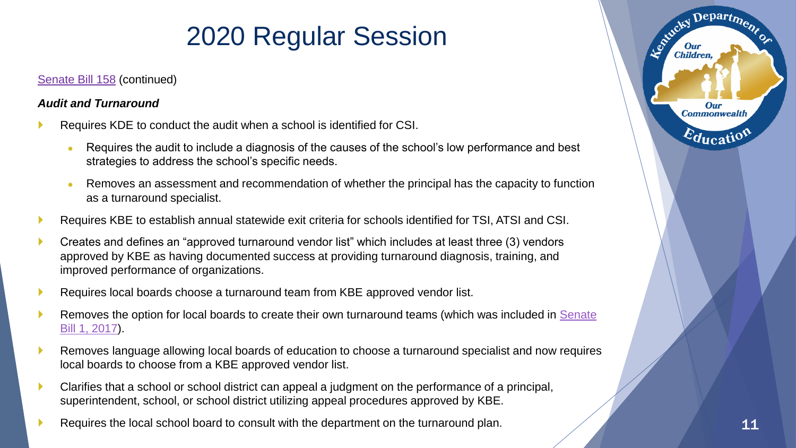### [Senate Bill 158](https://apps.legislature.ky.gov/record/20rs/sb158.html) (continued)

### *Audit and Turnaround*

- Requires KDE to conduct the audit when a school is identified for CSI.
	- Requires the audit to include a diagnosis of the causes of the school's low performance and best strategies to address the school's specific needs.
	- Removes an assessment and recommendation of whether the principal has the capacity to function as a turnaround specialist.
- Requires KBE to establish annual statewide exit criteria for schools identified for TSI, ATSI and CSI.
- Creates and defines an "approved turnaround vendor list" which includes at least three (3) vendors approved by KBE as having documented success at providing turnaround diagnosis, training, and improved performance of organizations.
- Requires local boards choose a turnaround team from KBE approved vendor list.
- [Removes the option for local boards to create their own turnaround teams \(which was included in Senate](https://apps.legislature.ky.gov/record/17rs/sb1.html)  Bill 1, 2017).
- Removes language allowing local boards of education to choose a turnaround specialist and now requires local boards to choose from a KBE approved vendor list.
- Clarifies that a school or school district can appeal a judgment on the performance of a principal, superintendent, school, or school district utilizing appeal procedures approved by KBE.
- Requires the local school board to consult with the department on the turnaround plan.



Departme.

Our **Commonwealth** 

 $\varepsilon_{\text{ducati}}$ 

Estucky I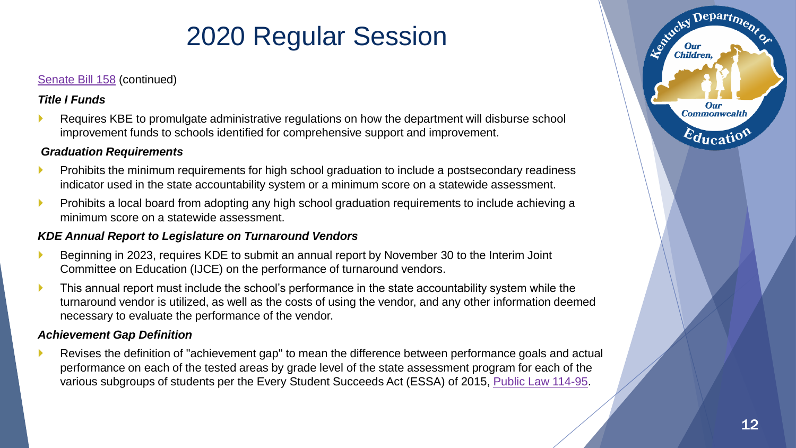#### [Senate Bill 158](https://apps.legislature.ky.gov/record/20rs/sb158.html) (continued)

### *Title I Funds*

 Requires KBE to promulgate administrative regulations on how the department will disburse school improvement funds to schools identified for comprehensive support and improvement.

#### *Graduation Requirements*

- Prohibits the minimum requirements for high school graduation to include a postsecondary readiness indicator used in the state accountability system or a minimum score on a statewide assessment.
- Prohibits a local board from adopting any high school graduation requirements to include achieving a minimum score on a statewide assessment.

### *KDE Annual Report to Legislature on Turnaround Vendors*

- Beginning in 2023, requires KDE to submit an annual report by November 30 to the Interim Joint Committee on Education (IJCE) on the performance of turnaround vendors.
- This annual report must include the school's performance in the state accountability system while the turnaround vendor is utilized, as well as the costs of using the vendor, and any other information deemed necessary to evaluate the performance of the vendor.

#### *Achievement Gap Definition*

 Revises the definition of "achievement gap" to mean the difference between performance goals and actual performance on each of the tested areas by grade level of the state assessment program for each of the various subgroups of students per the Every Student Succeeds Act (ESSA) of 2015, [Public Law 114-95](https://www.congress.gov/114/plaws/publ95/PLAW-114publ95.pdf).

Depart<sub>m</sub>

Our **Commonwealth** 

 $E_{\text{ducati}}$ 

Entreky I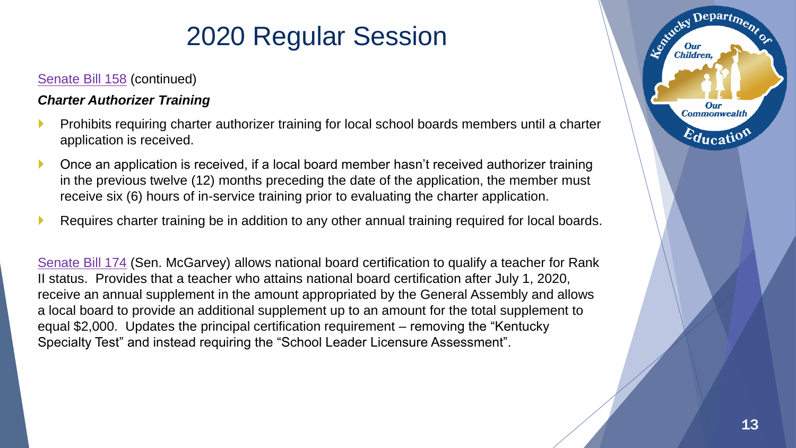### [Senate Bill 158](https://apps.legislature.ky.gov/record/20rs/sb158.html) (continued)

### *Charter Authorizer Training*

- Prohibits requiring charter authorizer training for local school boards members until a charter application is received.
- ▶ Once an application is received, if a local board member hasn't received authorizer training in the previous twelve (12) months preceding the date of the application, the member must receive six (6) hours of in-service training prior to evaluating the charter application.
- Requires charter training be in addition to any other annual training required for local boards.

[Senate Bill 174](https://apps.legislature.ky.gov/record/20rs/sb174.html) (Sen. McGarvey) allows national board certification to qualify a teacher for Rank II status. Provides that a teacher who attains national board certification after July 1, 2020, receive an annual supplement in the amount appropriated by the General Assembly and allows a local board to provide an additional supplement up to an amount for the total supplement to equal \$2,000. Updates the principal certification requirement – removing the "Kentucky Specialty Test" and instead requiring the "School Leader Licensure Assessment".

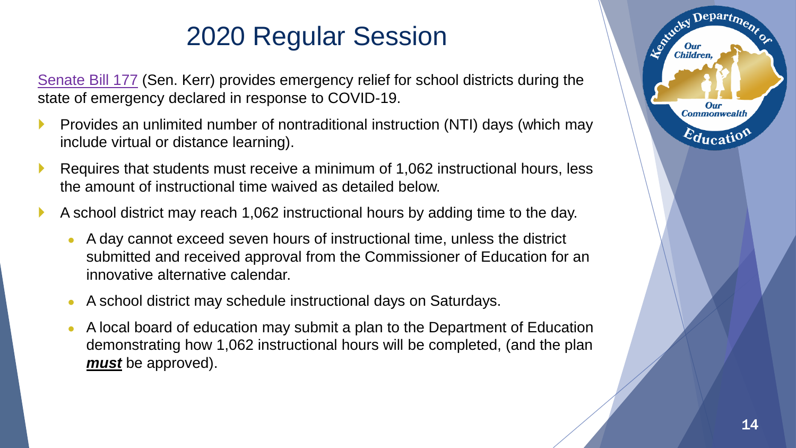[Senate Bill 177](https://apps.legislature.ky.gov/record/20rs/sb177.html) (Sen. Kerr) provides emergency relief for school districts during the state of emergency declared in response to COVID-19.

- Provides an unlimited number of nontraditional instruction (NTI) days (which may include virtual or distance learning).
- Requires that students must receive a minimum of 1,062 instructional hours, less the amount of instructional time waived as detailed below.
- A school district may reach 1,062 instructional hours by adding time to the day.
	- A day cannot exceed seven hours of instructional time, unless the district submitted and received approval from the Commissioner of Education for an innovative alternative calendar.
	- A school district may schedule instructional days on Saturdays.
	- A local board of education may submit a plan to the Department of Education demonstrating how 1,062 instructional hours will be completed, (and the plan *must* be approved).

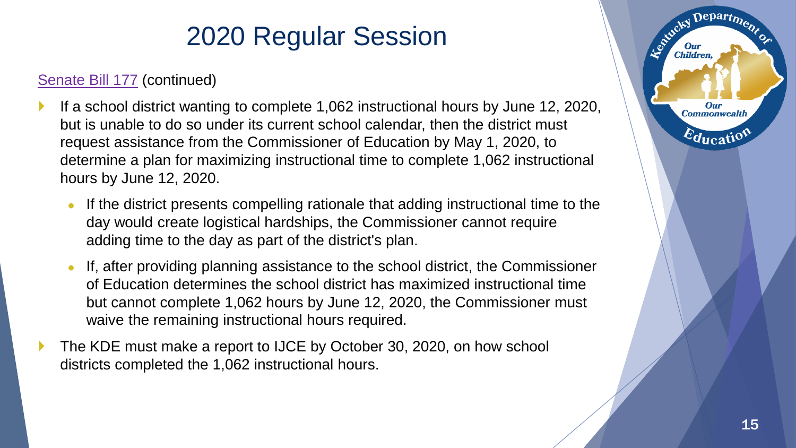### [Senate Bill 177](https://apps.legislature.ky.gov/record/20rs/sb177.html) (continued)

- If a school district wanting to complete 1,062 instructional hours by June 12, 2020, but is unable to do so under its current school calendar, then the district must request assistance from the Commissioner of Education by May 1, 2020, to determine a plan for maximizing instructional time to complete 1,062 instructional hours by June 12, 2020.
	- If the district presents compelling rationale that adding instructional time to the day would create logistical hardships, the Commissioner cannot require adding time to the day as part of the district's plan.
	- If, after providing planning assistance to the school district, the Commissioner of Education determines the school district has maximized instructional time but cannot complete 1,062 hours by June 12, 2020, the Commissioner must waive the remaining instructional hours required.
- The KDE must make a report to IJCE by October 30, 2020, on how school districts completed the 1,062 instructional hours.

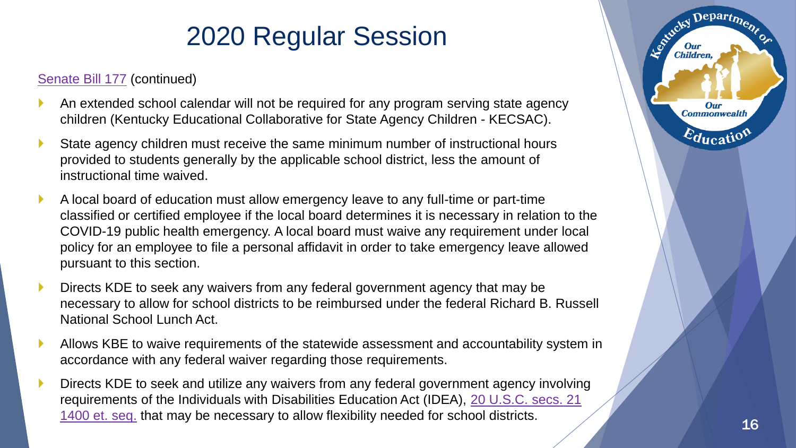### [Senate Bill 177](https://apps.legislature.ky.gov/record/20rs/sb177.html) (continued)

- An extended school calendar will not be required for any program serving state agency children (Kentucky Educational Collaborative for State Agency Children - KECSAC).
- State agency children must receive the same minimum number of instructional hours provided to students generally by the applicable school district, less the amount of instructional time waived.
- A local board of education must allow emergency leave to any full-time or part-time classified or certified employee if the local board determines it is necessary in relation to the COVID-19 public health emergency. A local board must waive any requirement under local policy for an employee to file a personal affidavit in order to take emergency leave allowed pursuant to this section.
- Directs KDE to seek any waivers from any federal government agency that may be necessary to allow for school districts to be reimbursed under the federal Richard B. Russell National School Lunch Act.
- Allows KBE to waive requirements of the statewide assessment and accountability system in accordance with any federal waiver regarding those requirements.
- Directs KDE to seek and utilize any waivers from any federal government agency involving [requirements of the Individuals with Disabilities Education Act \(IDEA\), 20 U.S.C. secs. 21](https://www.law.cornell.edu/uscode/text/20/1400) 1400 et. seq. that may be necessary to allow flexibility needed for school districts.



Departme.

**Our Commonwealth** 

 $\varepsilon_{\text{qucati}}$ 

Le Child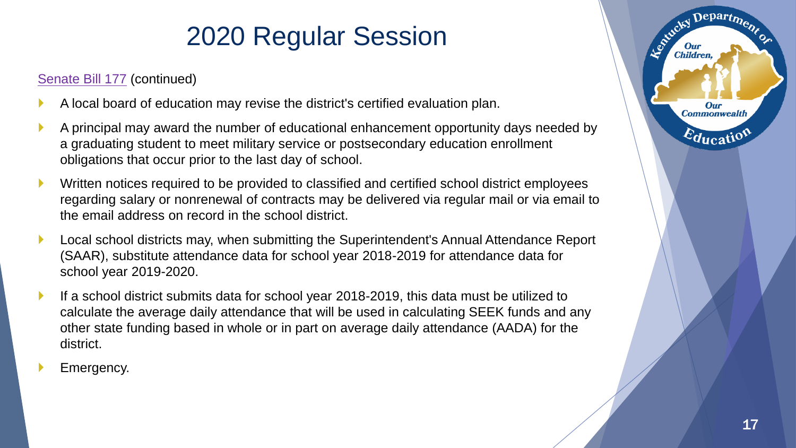### [Senate Bill 177](https://apps.legislature.ky.gov/record/20rs/sb177.html) (continued)

- A local board of education may revise the district's certified evaluation plan.
- A principal may award the number of educational enhancement opportunity days needed by a graduating student to meet military service or postsecondary education enrollment obligations that occur prior to the last day of school.
- **Number 1** Written notices required to be provided to classified and certified school district employees regarding salary or nonrenewal of contracts may be delivered via regular mail or via email to the email address on record in the school district.
- Local school districts may, when submitting the Superintendent's Annual Attendance Report (SAAR), substitute attendance data for school year 2018-2019 for attendance data for school year 2019-2020.
- If a school district submits data for school year 2018-2019, this data must be utilized to calculate the average daily attendance that will be used in calculating SEEK funds and any other state funding based in whole or in part on average daily attendance (AADA) for the district.
- Emergency.

Departme.

**Our Commonwealth** 

 $E_{\text{ducati}}$ 

Leonicky I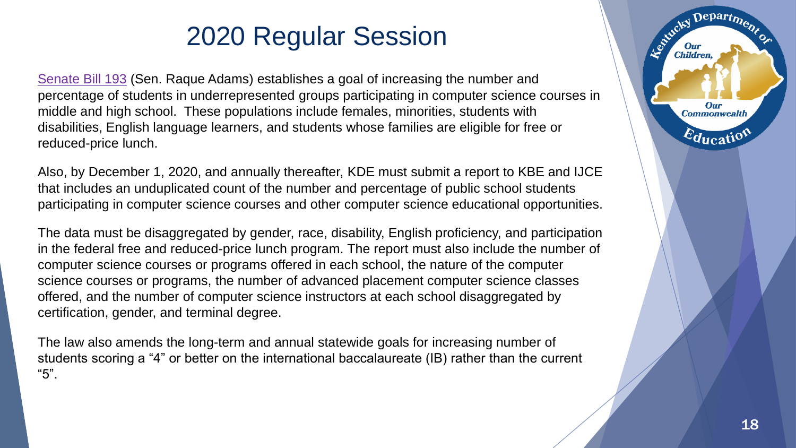[Senate Bill 193](https://apps.legislature.ky.gov/record/20rs/sb193.html) (Sen. Raque Adams) establishes a goal of increasing the number and percentage of students in underrepresented groups participating in computer science courses in middle and high school. These populations include females, minorities, students with disabilities, English language learners, and students whose families are eligible for free or reduced-price lunch.

Also, by December 1, 2020, and annually thereafter, KDE must submit a report to KBE and IJCE that includes an unduplicated count of the number and percentage of public school students participating in computer science courses and other computer science educational opportunities.

The data must be disaggregated by gender, race, disability, English proficiency, and participation in the federal free and reduced-price lunch program. The report must also include the number of computer science courses or programs offered in each school, the nature of the computer science courses or programs, the number of advanced placement computer science classes offered, and the number of computer science instructors at each school disaggregated by certification, gender, and terminal degree.

The law also amends the long-term and annual statewide goals for increasing number of students scoring a "4" or better on the international baccalaureate (IB) rather than the current "5".

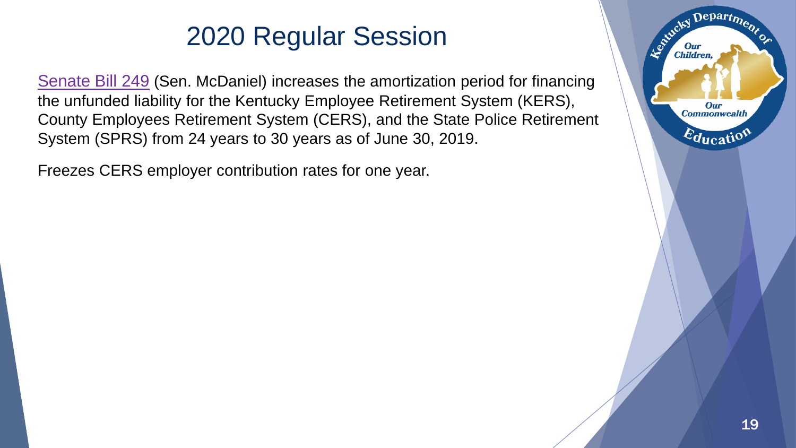[Senate Bill 249](https://apps.legislature.ky.gov/record/20rs/sb249.html) (Sen. McDaniel) increases the amortization period for financing the unfunded liability for the Kentucky Employee Retirement System (KERS), County Employees Retirement System (CERS), and the State Police Retirement System (SPRS) from 24 years to 30 years as of June 30, 2019.

Freezes CERS employer contribution rates for one year.

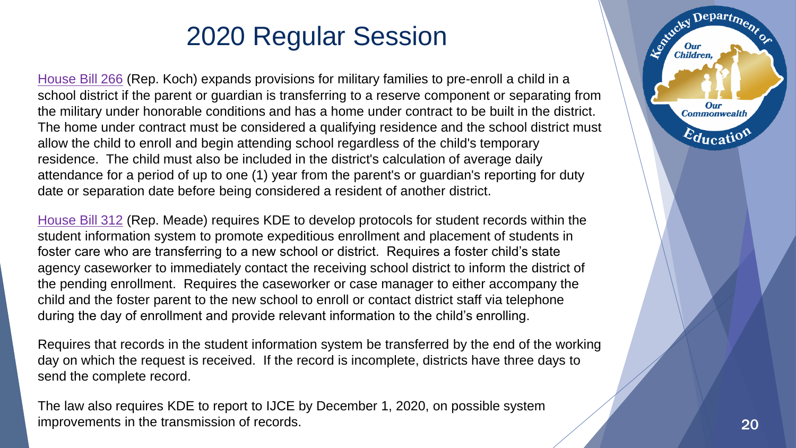[House Bill 266](https://apps.legislature.ky.gov/record/20rs/hb266.html) (Rep. Koch) expands provisions for military families to pre-enroll a child in a school district if the parent or guardian is transferring to a reserve component or separating from the military under honorable conditions and has a home under contract to be built in the district. The home under contract must be considered a qualifying residence and the school district must allow the child to enroll and begin attending school regardless of the child's temporary residence. The child must also be included in the district's calculation of average daily attendance for a period of up to one (1) year from the parent's or guardian's reporting for duty date or separation date before being considered a resident of another district.

[House Bill 312](https://apps.legislature.ky.gov/record/20rs/hb312.html) (Rep. Meade) requires KDE to develop protocols for student records within the student information system to promote expeditious enrollment and placement of students in foster care who are transferring to a new school or district. Requires a foster child's state agency caseworker to immediately contact the receiving school district to inform the district of the pending enrollment. Requires the caseworker or case manager to either accompany the child and the foster parent to the new school to enroll or contact district staff via telephone during the day of enrollment and provide relevant information to the child's enrolling.

Requires that records in the student information system be transferred by the end of the working day on which the request is received. If the record is incomplete, districts have three days to send the complete record.

The law also requires KDE to report to IJCE by December 1, 2020, on possible system improvements in the transmission of records. 20 and 20 and 20 and 20 and 20 and 20 and 20 and 20 and 20 and 20



Departme

**Our Commonwealth** 

Education

Le Child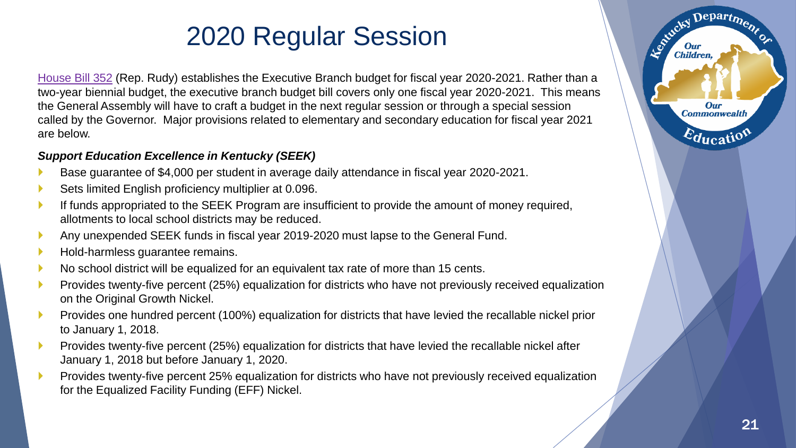[House Bill 352](https://apps.legislature.ky.gov/record/20rs/hb352.html) (Rep. Rudy) establishes the Executive Branch budget for fiscal year 2020-2021. Rather than a two-year biennial budget, the executive branch budget bill covers only one fiscal year 2020-2021. This means the General Assembly will have to craft a budget in the next regular session or through a special session called by the Governor. Major provisions related to elementary and secondary education for fiscal year 2021 are below.

### *Support Education Excellence in Kentucky (SEEK)*

- Base guarantee of \$4,000 per student in average daily attendance in fiscal year 2020-2021.
- Sets limited English proficiency multiplier at 0.096.
- If funds appropriated to the SEEK Program are insufficient to provide the amount of money required, allotments to local school districts may be reduced.
- Any unexpended SEEK funds in fiscal year 2019-2020 must lapse to the General Fund.
- Hold-harmless guarantee remains.
- No school district will be equalized for an equivalent tax rate of more than 15 cents.
- Provides twenty-five percent (25%) equalization for districts who have not previously received equalization on the Original Growth Nickel.
- Provides one hundred percent (100%) equalization for districts that have levied the recallable nickel prior to January 1, 2018.
- Provides twenty-five percent (25%) equalization for districts that have levied the recallable nickel after January 1, 2018 but before January 1, 2020.
- Provides twenty-five percent 25% equalization for districts who have not previously received equalization for the Equalized Facility Funding (EFF) Nickel.

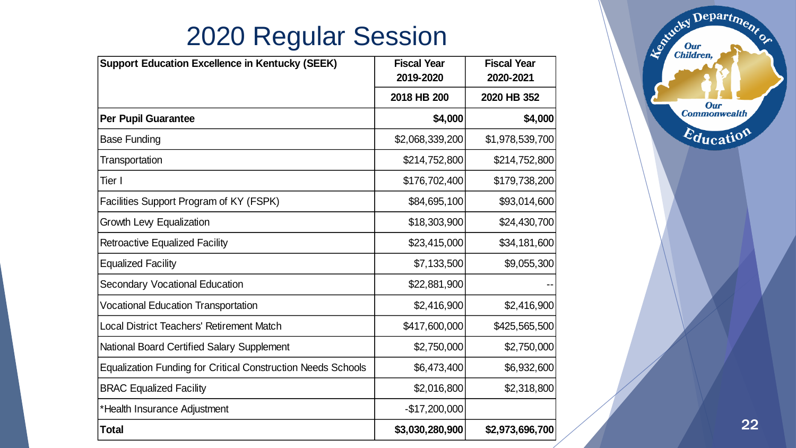| <b>Support Education Excellence in Kentucky (SEEK)</b>              | <b>Fiscal Year</b><br>2019-2020 | <b>Fiscal Year</b><br>2020-2021 |
|---------------------------------------------------------------------|---------------------------------|---------------------------------|
|                                                                     | 2018 HB 200                     | 2020 HB 352                     |
| <b>Per Pupil Guarantee</b>                                          | \$4,000                         | \$4,000                         |
| <b>Base Funding</b>                                                 | \$2,068,339,200                 | \$1,978,539,700                 |
| Transportation                                                      | \$214,752,800                   | \$214,752,800                   |
| Tier I                                                              | \$176,702,400                   | \$179,738,200                   |
| Facilities Support Program of KY (FSPK)                             | \$84,695,100                    | \$93,014,600                    |
| Growth Levy Equalization                                            | \$18,303,900                    | \$24,430,700                    |
| <b>Retroactive Equalized Facility</b>                               | \$23,415,000                    | \$34,181,600                    |
| <b>Equalized Facility</b>                                           | \$7,133,500                     | \$9,055,300                     |
| <b>Secondary Vocational Education</b>                               | \$22,881,900                    |                                 |
| <b>Vocational Education Transportation</b>                          | \$2,416,900                     | \$2,416,900                     |
| <b>Local District Teachers' Retirement Match</b>                    | \$417,600,000                   | \$425,565,500                   |
| <b>National Board Certified Salary Supplement</b>                   | \$2,750,000                     | \$2,750,000                     |
| <b>Equalization Funding for Critical Construction Needs Schools</b> | \$6,473,400                     | \$6,932,600                     |
| <b>BRAC Equalized Facility</b>                                      | \$2,016,800                     | \$2,318,800                     |
| *Health Insurance Adjustment                                        | $-$17,200,000$                  |                                 |
| Total                                                               | \$3,030,280,900                 | \$2,973,696,700                 |

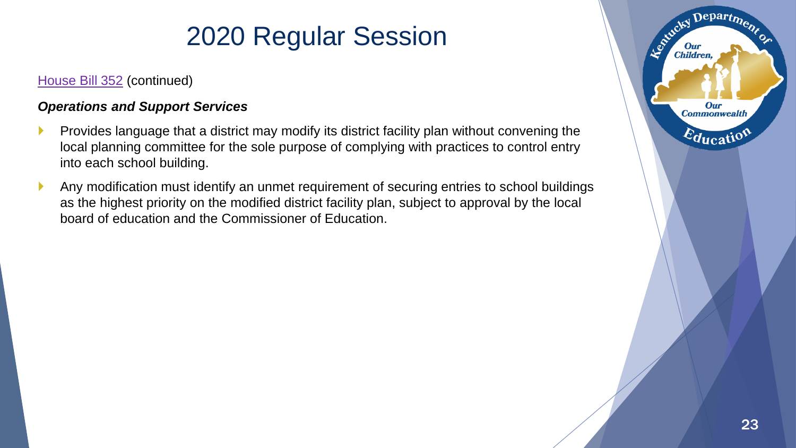### [House Bill 352](https://apps.legislature.ky.gov/record/20rs/hb352.html) (continued)

### *Operations and Support Services*

- Provides language that a district may modify its district facility plan without convening the local planning committee for the sole purpose of complying with practices to control entry into each school building.
- Any modification must identify an unmet requirement of securing entries to school buildings as the highest priority on the modified district facility plan, subject to approval by the local board of education and the Commissioner of Education.

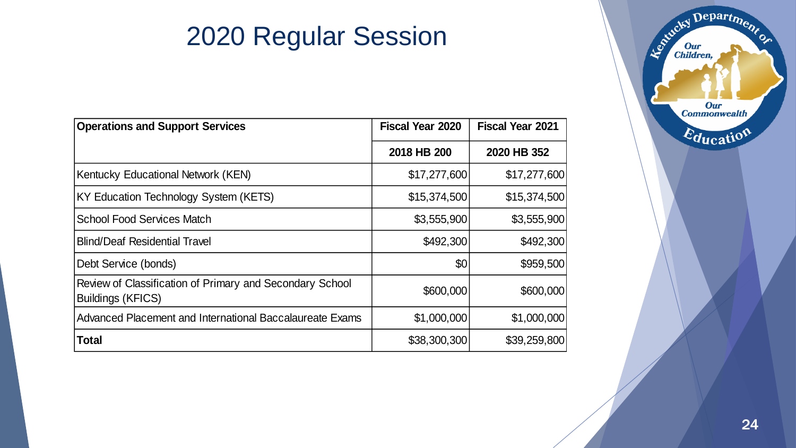| <b>Operations and Support Services</b>                                               | <b>Fiscal Year 2020</b> | <b>Fiscal Year 2021</b> |
|--------------------------------------------------------------------------------------|-------------------------|-------------------------|
|                                                                                      | 2018 HB 200             | 2020 HB 352             |
| Kentucky Educational Network (KEN)                                                   | \$17,277,600            | \$17,277,600            |
| KY Education Technology System (KETS)                                                | \$15,374,500            | \$15,374,500            |
| <b>School Food Services Match</b>                                                    | \$3,555,900             | \$3,555,900             |
| <b>Blind/Deaf Residential Travel</b>                                                 | \$492,300               | \$492,300               |
| Debt Service (bonds)                                                                 | \$0                     | \$959,500               |
| Review of Classification of Primary and Secondary School<br><b>Buildings (KFICS)</b> | \$600,000               | \$600,000               |
| Advanced Placement and International Baccalaureate Exams                             | \$1,000,000             | \$1,000,000             |
| <b>Total</b>                                                                         | \$38,300,300            | \$39,259,800            |

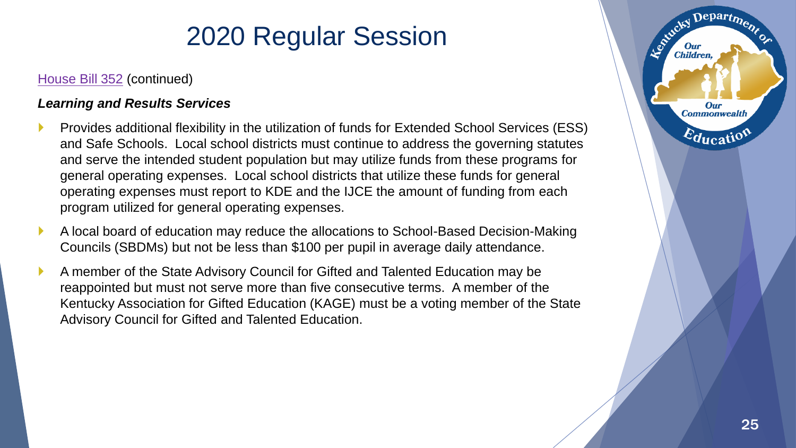### [House Bill 352](https://apps.legislature.ky.gov/record/20rs/hb352.html) (continued)

### *Learning and Results Services*

- Provides additional flexibility in the utilization of funds for Extended School Services (ESS) and Safe Schools. Local school districts must continue to address the governing statutes and serve the intended student population but may utilize funds from these programs for general operating expenses. Local school districts that utilize these funds for general operating expenses must report to KDE and the IJCE the amount of funding from each program utilized for general operating expenses.
- A local board of education may reduce the allocations to School-Based Decision-Making Councils (SBDMs) but not be less than \$100 per pupil in average daily attendance.
- A member of the State Advisory Council for Gifted and Talented Education may be reappointed but must not serve more than five consecutive terms. A member of the Kentucky Association for Gifted Education (KAGE) must be a voting member of the State Advisory Council for Gifted and Talented Education.



Departme.

Agencies I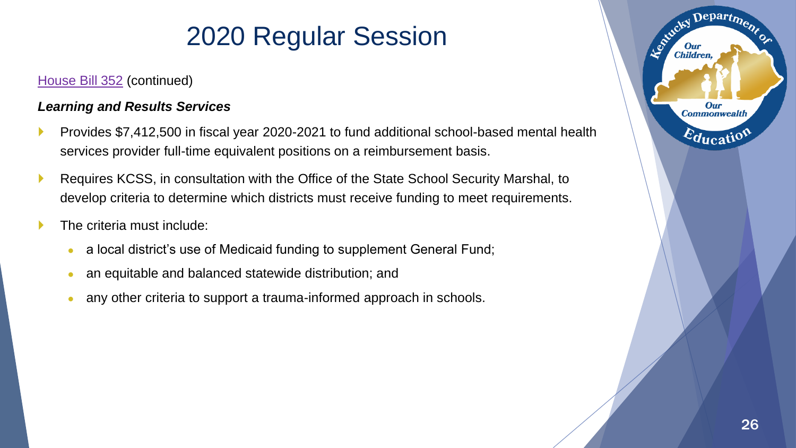### [House Bill 352](https://apps.legislature.ky.gov/record/20rs/hb352.html) (continued)

### *Learning and Results Services*

- Provides \$7,412,500 in fiscal year 2020-2021 to fund additional school-based mental health services provider full-time equivalent positions on a reimbursement basis.
- Requires KCSS, in consultation with the Office of the State School Security Marshal, to develop criteria to determine which districts must receive funding to meet requirements.
- The criteria must include:
	- a local district's use of Medicaid funding to supplement General Fund;
	- an equitable and balanced statewide distribution; and
	- any other criteria to support a trauma-informed approach in schools.

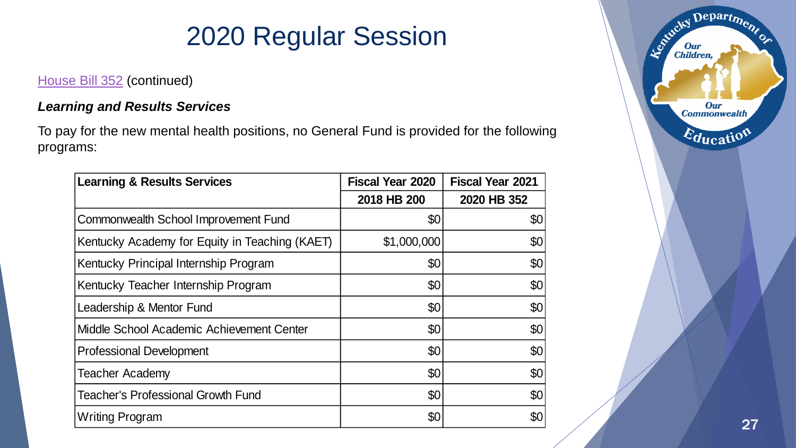### [House Bill 352](https://apps.legislature.ky.gov/record/20rs/hb352.html) (continued)

### *Learning and Results Services*

To pay for the new mental health positions, no General Fund is provided for the following programs:

| <b>Learning &amp; Results Services</b>         | <b>Fiscal Year 2020</b> | <b>Fiscal Year 2021</b> |
|------------------------------------------------|-------------------------|-------------------------|
|                                                | 2018 HB 200             | 2020 HB 352             |
| Commonwealth School Improvement Fund           | \$0                     | \$0                     |
| Kentucky Academy for Equity in Teaching (KAET) | \$1,000,000             | \$0                     |
| Kentucky Principal Internship Program          | \$0                     | \$0                     |
| Kentucky Teacher Internship Program            | \$0                     | \$0                     |
| Leadership & Mentor Fund                       | \$0                     | \$0                     |
| Middle School Academic Achievement Center      | \$0                     | \$0                     |
| <b>Professional Development</b>                | \$0                     | \$0                     |
| <b>Teacher Academy</b>                         | \$0                     | \$0                     |
| <b>Teacher's Professional Growth Fund</b>      | \$0                     | \$0                     |
| Writing Program                                | \$0                     | \$0                     |

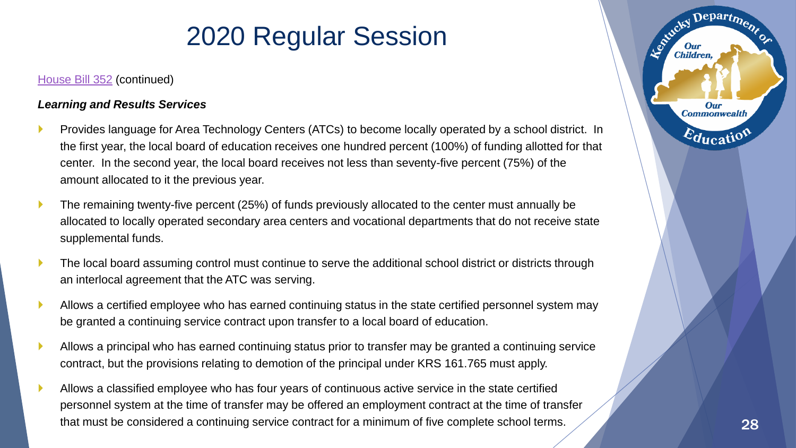#### [House Bill 352](https://apps.legislature.ky.gov/record/20rs/hb352.html) (continued)

### *Learning and Results Services*

- Provides language for Area Technology Centers (ATCs) to become locally operated by a school district. In the first year, the local board of education receives one hundred percent (100%) of funding allotted for that center. In the second year, the local board receives not less than seventy-five percent (75%) of the amount allocated to it the previous year.
- The remaining twenty-five percent (25%) of funds previously allocated to the center must annually be allocated to locally operated secondary area centers and vocational departments that do not receive state supplemental funds.
- The local board assuming control must continue to serve the additional school district or districts through an interlocal agreement that the ATC was serving.
- Allows a certified employee who has earned continuing status in the state certified personnel system may be granted a continuing service contract upon transfer to a local board of education.
- Allows a principal who has earned continuing status prior to transfer may be granted a continuing service contract, but the provisions relating to demotion of the principal under KRS 161.765 must apply.
- Allows a classified employee who has four years of continuous active service in the state certified personnel system at the time of transfer may be offered an employment contract at the time of transfer that must be considered a continuing service contract for a minimum of five complete school terms.

Departme.

Our **Commonwealth** 

 $E_{\text{ducatio}}$ 

Entreky I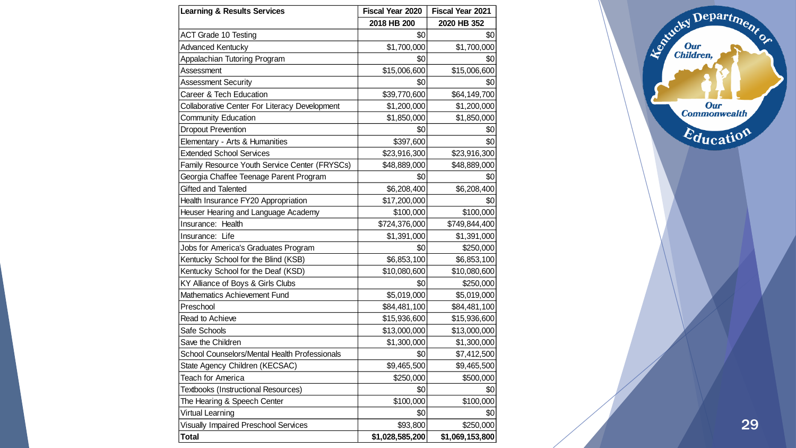| <b>Learning &amp; Results Services</b>        | Fiscal Year 2020 | Fiscal Year 2021 |
|-----------------------------------------------|------------------|------------------|
|                                               | 2018 HB 200      | 2020 HB 352      |
| <b>ACT Grade 10 Testing</b>                   | \$0              | \$0              |
| <b>Advanced Kentucky</b>                      | \$1,700,000      | \$1,700,000      |
| Appalachian Tutoring Program                  | \$0              | \$0              |
| Assessment                                    | \$15,006,600     | \$15,006,600     |
| <b>Assessment Security</b>                    | \$0              | \$0              |
| Career & Tech Education                       | \$39,770,600     | \$64,149,700     |
| Collaborative Center For Literacy Development | \$1,200,000      | \$1,200,000      |
| <b>Community Education</b>                    | \$1,850,000      | \$1,850,000      |
| <b>Dropout Prevention</b>                     | \$0              | \$0              |
| Elementary - Arts & Humanities                | \$397,600        | \$0              |
| <b>Extended School Services</b>               | \$23,916,300     | \$23,916,300     |
| Family Resource Youth Service Center (FRYSCs) | \$48,889,000     | \$48,889,000     |
| Georgia Chaffee Teenage Parent Program        | \$0              | \$0              |
| Gifted and Talented                           | \$6,208,400      | \$6,208,400      |
| Health Insurance FY20 Appropriation           | \$17,200,000     | \$0              |
| Heuser Hearing and Language Academy           | \$100,000        | \$100,000        |
| Insurance: Health                             | \$724,376,000    | \$749,844,400    |
| Insurance: Life                               | \$1,391,000      | \$1,391,000      |
| Jobs for America's Graduates Program          | \$0              | \$250,000        |
| Kentucky School for the Blind (KSB)           | \$6,853,100      | \$6,853,100      |
| Kentucky School for the Deaf (KSD)            | \$10,080,600     | \$10,080,600     |
| KY Alliance of Boys & Girls Clubs             | \$0              | \$250,000        |
| Mathematics Achievement Fund                  | \$5,019,000      | \$5,019,000      |
| Preschool                                     | \$84,481,100     | \$84,481,100     |
| Read to Achieve                               | \$15,936,600     | \$15,936,600     |
| Safe Schools                                  | \$13,000,000     | \$13,000,000     |
| Save the Children                             | \$1,300,000      | \$1,300,000      |
| School Counselors/Mental Health Professionals | \$0              | \$7,412,500      |
| State Agency Children (KECSAC)                | \$9,465,500      | \$9,465,500      |
| Teach for America                             | \$250,000        | \$500,000        |
| Textbooks (Instructional Resources)           | \$0              | \$0              |
| The Hearing & Speech Center                   | \$100,000        | \$100,000        |
| <b>Virtual Learning</b>                       | \$0              | \$0              |
| <b>Visually Impaired Preschool Services</b>   | \$93,800         | \$250,000        |
| <b>Total</b>                                  | \$1,028,585,200  | \$1,069,153,800  |

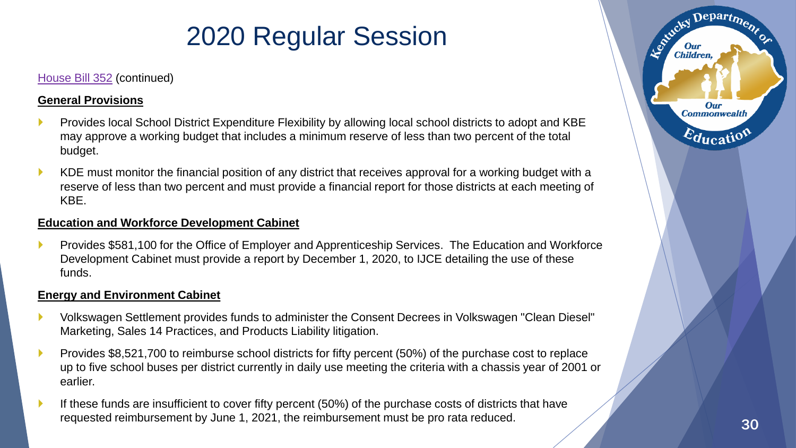### [House Bill 352](https://apps.legislature.ky.gov/record/20rs/hb352.html) (continued)

#### **General Provisions**

- Provides local School District Expenditure Flexibility by allowing local school districts to adopt and KBE may approve a working budget that includes a minimum reserve of less than two percent of the total budget.
- KDE must monitor the financial position of any district that receives approval for a working budget with a reserve of less than two percent and must provide a financial report for those districts at each meeting of KBE.

### **Education and Workforce Development Cabinet**

 Provides \$581,100 for the Office of Employer and Apprenticeship Services. The Education and Workforce Development Cabinet must provide a report by December 1, 2020, to IJCE detailing the use of these funds.

### **Energy and Environment Cabinet**

- Volkswagen Settlement provides funds to administer the Consent Decrees in Volkswagen "Clean Diesel" Marketing, Sales 14 Practices, and Products Liability litigation.
- Provides \$8,521,700 to reimburse school districts for fifty percent (50%) of the purchase cost to replace up to five school buses per district currently in daily use meeting the criteria with a chassis year of 2001 or earlier.
- If these funds are insufficient to cover fifty percent (50%) of the purchase costs of districts that have requested reimbursement by June 1, 2021, the reimbursement must be pro rata reduced. 30

Departme.

**Our Commonwealth** 

 $\varepsilon_{\text{ducati}}$ 

Agencies 1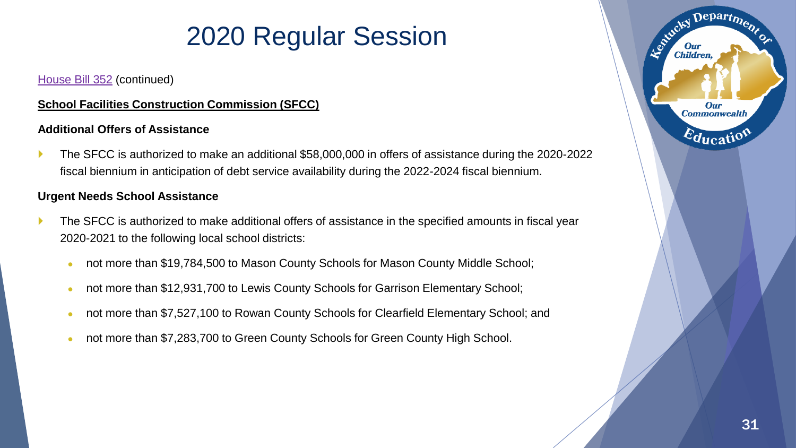### [House Bill 352](https://apps.legislature.ky.gov/record/20rs/hb352.html) (continued)

### **School Facilities Construction Commission (SFCC)**

### **Additional Offers of Assistance**

 The SFCC is authorized to make an additional \$58,000,000 in offers of assistance during the 2020-2022 fiscal biennium in anticipation of debt service availability during the 2022-2024 fiscal biennium.

### **Urgent Needs School Assistance**

- The SFCC is authorized to make additional offers of assistance in the specified amounts in fiscal year 2020-2021 to the following local school districts:
	- not more than \$19,784,500 to Mason County Schools for Mason County Middle School;
	- not more than \$12,931,700 to Lewis County Schools for Garrison Elementary School;
	- not more than \$7,527,100 to Rowan County Schools for Clearfield Elementary School; and
	- not more than \$7,283,700 to Green County Schools for Green County High School.

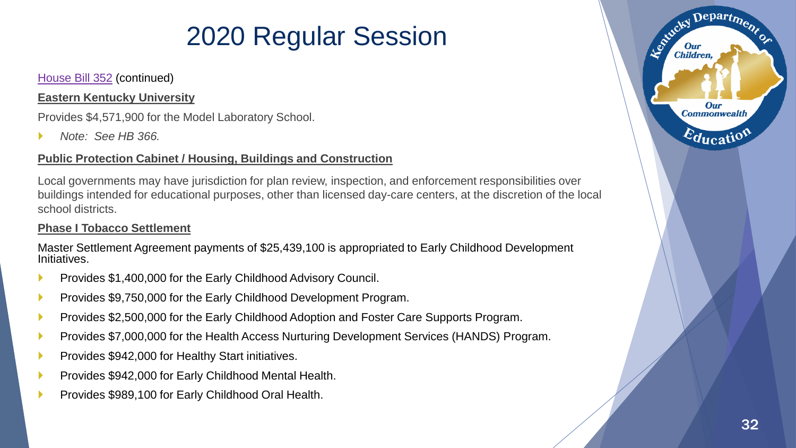### [House Bill 352](https://apps.legislature.ky.gov/record/20rs/hb352.html) (continued)

#### **Eastern Kentucky University**

Provides \$4,571,900 for the Model Laboratory School.

*Note: See HB 366.*

### **Public Protection Cabinet / Housing, Buildings and Construction**

Local governments may have jurisdiction for plan review, inspection, and enforcement responsibilities over buildings intended for educational purposes, other than licensed day-care centers, at the discretion of the local school districts.

#### **Phase I Tobacco Settlement**

Master Settlement Agreement payments of \$25,439,100 is appropriated to Early Childhood Development Initiatives.

- Provides \$1,400,000 for the Early Childhood Advisory Council.
- Provides \$9,750,000 for the Early Childhood Development Program.
- Provides \$2,500,000 for the Early Childhood Adoption and Foster Care Supports Program.
- Provides \$7,000,000 for the Health Access Nurturing Development Services (HANDS) Program.
- Provides \$942,000 for Healthy Start initiatives.
- Provides \$942,000 for Early Childhood Mental Health.
- Provides \$989,100 for Early Childhood Oral Health.



Departme.

Our **Commonwealth** 

 $E_{\text{ducati}}$ 

Estucky I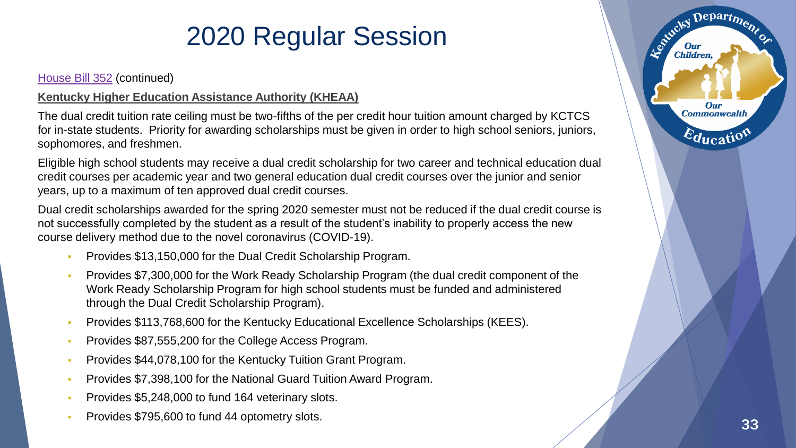[House Bill 352](https://apps.legislature.ky.gov/record/20rs/hb352.html) (continued)

### **Kentucky Higher Education Assistance Authority (KHEAA)**

The dual credit tuition rate ceiling must be two-fifths of the per credit hour tuition amount charged by KCTCS for in-state students. Priority for awarding scholarships must be given in order to high school seniors, juniors, sophomores, and freshmen.

Eligible high school students may receive a dual credit scholarship for two career and technical education dual credit courses per academic year and two general education dual credit courses over the junior and senior years, up to a maximum of ten approved dual credit courses.

Dual credit scholarships awarded for the spring 2020 semester must not be reduced if the dual credit course is not successfully completed by the student as a result of the student's inability to properly access the new course delivery method due to the novel coronavirus (COVID-19).

- Provides \$13,150,000 for the Dual Credit Scholarship Program.
- Provides \$7,300,000 for the Work Ready Scholarship Program (the dual credit component of the Work Ready Scholarship Program for high school students must be funded and administered through the Dual Credit Scholarship Program).
- **Provides \$113,768,600 for the Kentucky Educational Excellence Scholarships (KEES).**
- Provides \$87,555,200 for the College Access Program.
- Provides \$44,078,100 for the Kentucky Tuition Grant Program.
- Provides \$7,398,100 for the National Guard Tuition Award Program.
- Provides \$5,248,000 to fund 164 veterinary slots.
- **Provides \$795,600 to fund 44 optometry slots.** 33 and 33 and 33 and 33 and 33 and 33 and 33 and 33 and 33 and 33 and 33 and 33 and 33 and 33 and 33 and 33 and 33 and 33 and 33 and 33 and 33 and 33 and 33 and 33 and 33 and

Departme.

**Our Commonwealth** 

Education

Entreter I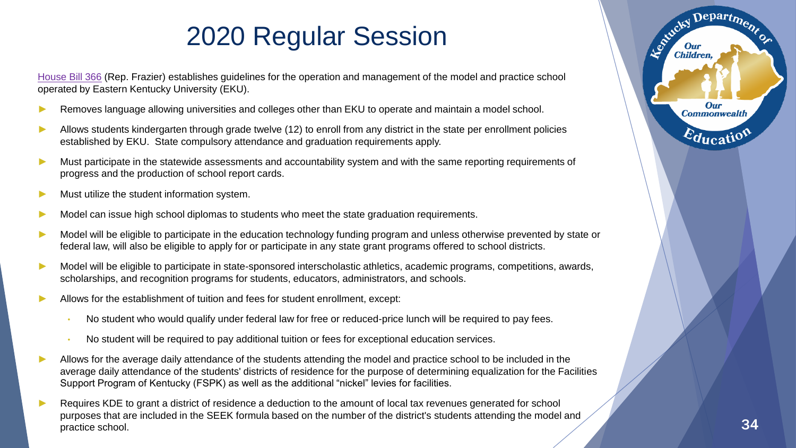[House Bill 366](https://apps.legislature.ky.gov/record/20rs/hb366.html) (Rep. Frazier) establishes guidelines for the operation and management of the model and practice school operated by Eastern Kentucky University (EKU).

- Removes language allowing universities and colleges other than EKU to operate and maintain a model school.
- Allows students kindergarten through grade twelve (12) to enroll from any district in the state per enrollment policies established by EKU. State compulsory attendance and graduation requirements apply.
- Must participate in the statewide assessments and accountability system and with the same reporting requirements of progress and the production of school report cards.
- Must utilize the student information system.
- Model can issue high school diplomas to students who meet the state graduation requirements.
- Model will be eligible to participate in the education technology funding program and unless otherwise prevented by state or federal law, will also be eligible to apply for or participate in any state grant programs offered to school districts.
- Model will be eligible to participate in state-sponsored interscholastic athletics, academic programs, competitions, awards, scholarships, and recognition programs for students, educators, administrators, and schools.
- ► Allows for the establishment of tuition and fees for student enrollment, except:
	- No student who would qualify under federal law for free or reduced-price lunch will be required to pay fees.
	- No student will be required to pay additional tuition or fees for exceptional education services.
- Allows for the average daily attendance of the students attending the model and practice school to be included in the average daily attendance of the students' districts of residence for the purpose of determining equalization for the Facilities Support Program of Kentucky (FSPK) as well as the additional "nickel" levies for facilities.
- Requires KDE to grant a district of residence a deduction to the amount of local tax revenues generated for school purposes that are included in the SEEK formula based on the number of the district's students attending the model and<br>practice school. 34

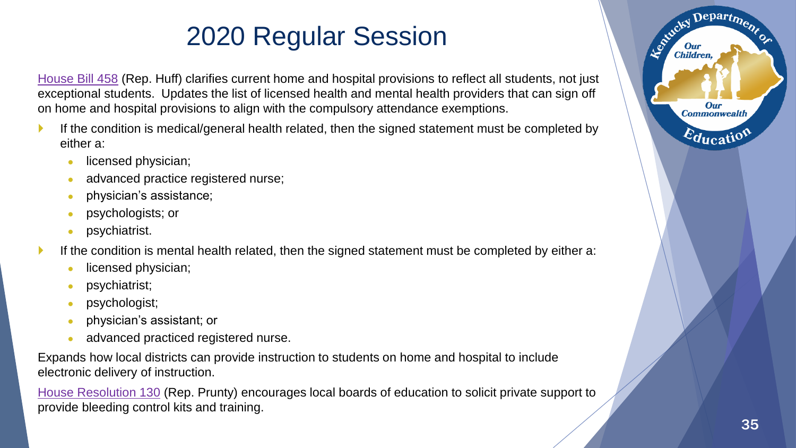[House Bill 458](https://apps.legislature.ky.gov/record/20rs/hb458.html) (Rep. Huff) clarifies current home and hospital provisions to reflect all students, not just exceptional students. Updates the list of licensed health and mental health providers that can sign off on home and hospital provisions to align with the compulsory attendance exemptions.

- If the condition is medical/general health related, then the signed statement must be completed by either a:
	- licensed physician;
	- advanced practice registered nurse;
	- physician's assistance;
	- psychologists; or
	- psychiatrist.
- If the condition is mental health related, then the signed statement must be completed by either a:
	- licensed physician;
	- psychiatrist;
	- psychologist;
	- physician's assistant; or
	- advanced practiced registered nurse.

Expands how local districts can provide instruction to students on home and hospital to include electronic delivery of instruction.

[House Resolution 130](https://apps.legislature.ky.gov/record/20rs/hr130.html) (Rep. Prunty) encourages local boards of education to solicit private support to provide bleeding control kits and training.

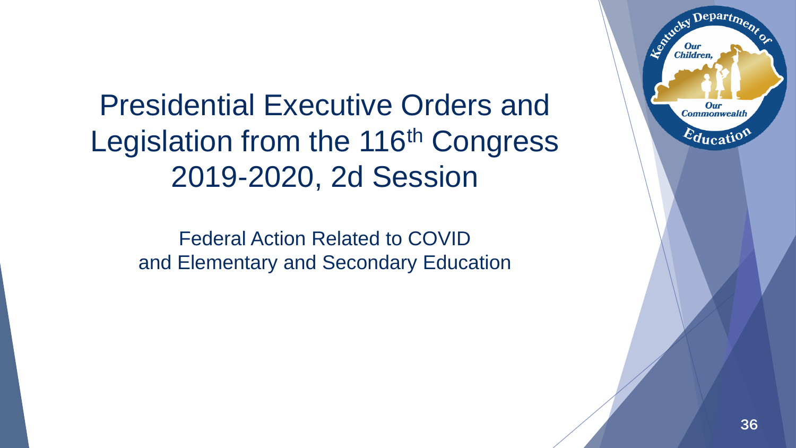Presidential Executive Orders and Legislation from the 116<sup>th</sup> Congress 2019-2020, 2d Session

Federal Action Related to COVID and Elementary and Secondary Education

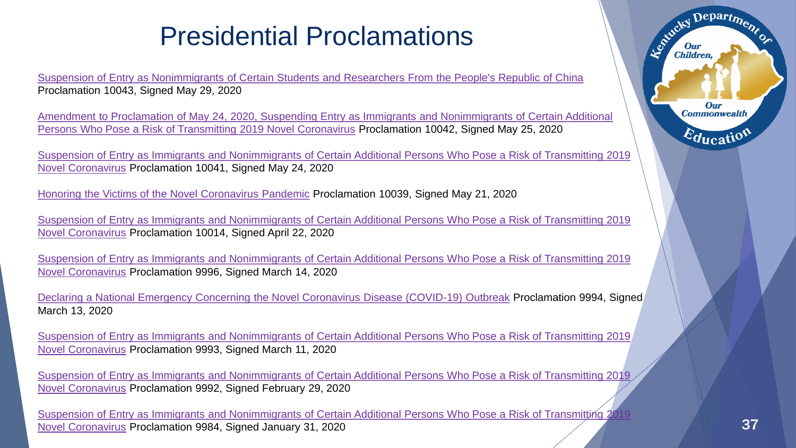### Presidential Proclamations

[Suspension of Entry as Nonimmigrants of Certain Students and Researchers From the People's Republic of China](https://www.federalregister.gov/documents/2020/06/04/2020-12217/suspension-of-entry-as-nonimmigrants-of-certain-students-and-researchers-from-the-peoples-republic) Proclamation 10043, Signed May 29, 2020

[Amendment to Proclamation of May 24, 2020, Suspending Entry as Immigrants and Nonimmigrants of Certain Additional](https://www.federalregister.gov/documents/2020/05/28/2020-11670/amendment-to-proclamation-of-may-24-2020-suspending-entry-as-immigrants-and-nonimmigrants-of-certain)  Persons Who Pose a Risk of Transmitting 2019 Novel Coronavirus Proclamation 10042, Signed May 25, 2020

[Suspension of Entry as Immigrants and Nonimmigrants of Certain Additional Persons Who Pose a Risk of Transmitting 2019](https://www.federalregister.gov/documents/2020/05/28/2020-11616/suspension-of-entry-as-immigrants-and-nonimmigrants-of-certain-additional-persons-who-pose-a-risk-of)  Novel Coronavirus Proclamation 10041, Signed May 24, 2020

[Honoring the Victims of the Novel Coronavirus Pandemic](https://www.federalregister.gov/documents/2020/05/27/2020-11539/honoring-the-victims-of-the-novel-coronavirus-pandemic) Proclamation 10039, Signed May 21, 2020

[Suspension of Entry as Immigrants and Nonimmigrants of Certain Additional Persons Who Pose a Risk of Transmitting 2019](https://www.federalregister.gov/documents/2020/03/18/2020-05797/suspension-of-entry-as-immigrants-and-nonimmigrants-of-certain-additional-persons-who-pose-a-risk-of)  Novel Coronavirus Proclamation 10014, Signed April 22, 2020

[Suspension of Entry as Immigrants and Nonimmigrants of Certain Additional Persons Who Pose a Risk of Transmitting 2019](https://www.federalregister.gov/documents/2020/03/18/2020-05797/suspension-of-entry-as-immigrants-and-nonimmigrants-of-certain-additional-persons-who-pose-a-risk-of)  Novel Coronavirus Proclamation 9996, Signed March 14, 2020

[Declaring a National Emergency Concerning the Novel Coronavirus Disease \(COVID-19\) Outbreak](https://www.federalregister.gov/documents/2020/03/18/2020-05794/declaring-a-national-emergency-concerning-the-novel-coronavirus-disease-covid-19-outbreak) Proclamation 9994, Signed March 13, 2020

[Suspension of Entry as Immigrants and Nonimmigrants of Certain Additional Persons Who Pose a Risk of Transmitting 2019](https://www.federalregister.gov/documents/2020/03/18/2020-05797/suspension-of-entry-as-immigrants-and-nonimmigrants-of-certain-additional-persons-who-pose-a-risk-of)  Novel Coronavirus Proclamation 9993, Signed March 11, 2020

[Suspension of Entry as Immigrants and Nonimmigrants of Certain Additional Persons Who Pose a Risk of Transmitting 2019](https://www.federalregister.gov/documents/2020/03/18/2020-05797/suspension-of-entry-as-immigrants-and-nonimmigrants-of-certain-additional-persons-who-pose-a-risk-of)  Novel Coronavirus Proclamation 9992, Signed February 29, 2020

Suspension of Entry as Immigrants and Nonimmigrants of Certain Additional Persons Who Pose a Risk of Transmitting 2019 Novel Coronavirus Proclamation 9984, Signed January 31, 2020 37



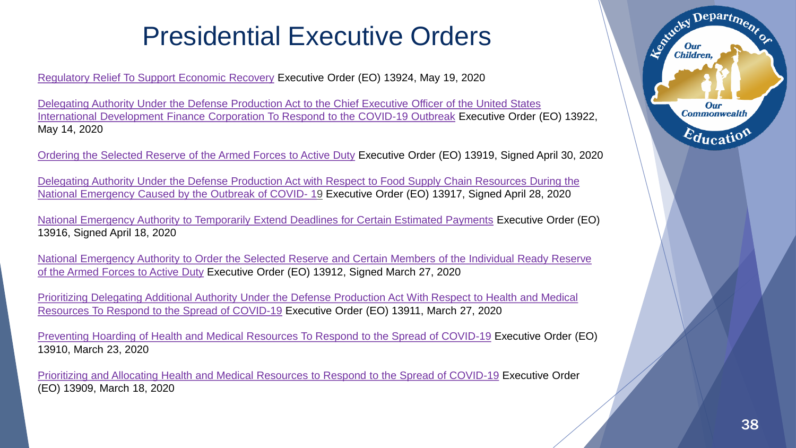### Presidential Executive Orders

[Regulatory Relief To Support Economic Recovery](https://www.federalregister.gov/documents/2020/05/22/2020-11301/regulatory-relief-to-support-economic-recovery) Executive Order (EO) 13924, May 19, 2020

[Delegating Authority Under the Defense Production Act to the Chief Executive Officer of the United States](https://www.federalregister.gov/documents/2020/05/19/2020-10953/delegating-authority-under-the-defense-production-act-to-the-chief-executive-officer-of-the-united)  International Development Finance Corporation To Respond to the COVID-19 Outbreak Executive Order (EO) 13922, May 14, 2020

[Ordering the Selected Reserve of the Armed Forces to Active Duty](https://www.federalregister.gov/documents/2020/05/04/2020-09645/ordering-the-selected-reserve-of-the-armed-forces-to-active-duty) Executive Order (EO) 13919, Signed April 30, 2020

[Delegating Authority Under the Defense Production Act with Respect to Food Supply Chain Resources During the](https://www.federalregister.gov/documents/2020/05/01/2020-09536/delegating-authority-under-the-defense-production-act-with-respect-to-food-supply-chain-resources)  National Emergency Caused by the Outbreak of COVID- 19 Executive Order (EO) 13917, Signed April 28, 2020

[National Emergency Authority to Temporarily Extend Deadlines for Certain Estimated Payments](https://www.federalregister.gov/documents/2020/04/23/2020-08846/national-emergency-authority-to-temporarily-extend-deadlines-for-certain-estimated-payments) Executive Order (EO) 13916, Signed April 18, 2020

[National Emergency Authority to Order the Selected Reserve and Certain Members of the Individual Ready Reserve](https://www.federalregister.gov/documents/2020/04/01/2020-06985/national-emergency-authority-to-order-the-selected-reserve-and-certain-members-of-the-individual)  of the Armed Forces to Active Duty Executive Order (EO) 13912, Signed March 27, 2020

[Prioritizing Delegating Additional Authority Under the Defense Production Act With Respect to Health and Medical](https://www.federalregister.gov/documents/2020/04/01/2020-06969/delegating-additional-authority-under-the-defense-production-act-with-respect-to-health-and-medical) Resources To Respond to the Spread of COVID-19 Executive Order (EO) 13911, March 27, 2020

[Preventing Hoarding of Health and Medical Resources To Respond to the Spread of COVID-19](https://www.federalregister.gov/documents/2020/03/26/2020-06478/preventing-hoarding-of-health-and-medical-resources-to-respond-to-the-spread-of-covid-19) Executive Order (EO) 13910, March 23, 2020

[Prioritizing and Allocating Health and Medical Resources to Respond to the Spread of COVID-19](https://www.federalregister.gov/documents/2020/03/23/2020-06161/prioritizing-and-allocating-health-and-medical-resources-to-respond-to-the-spread-of-covid-19) Executive Order (EO) 13909, March 18, 2020

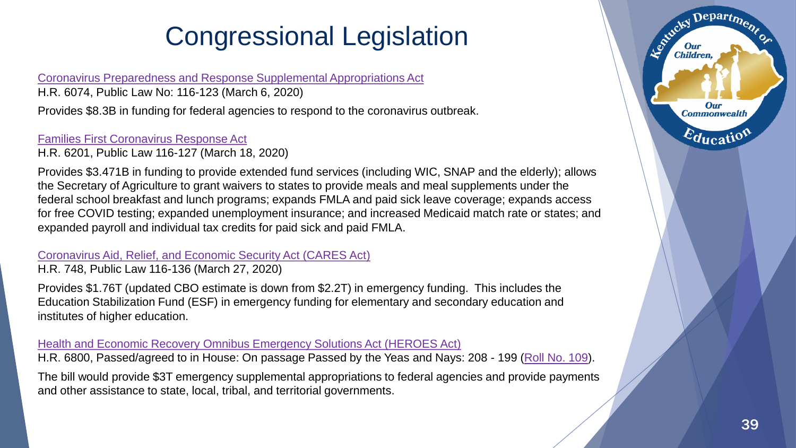[Coronavirus Preparedness and Response Supplemental Appropriations Act](https://www.congress.gov/bill/116th-congress/house-bill/6074/text)

H.R. 6074, Public Law No: 116-123 (March 6, 2020)

Provides \$8.3B in funding for federal agencies to respond to the coronavirus outbreak.

[Families First Coronavirus Response Act](https://www.congress.gov/bill/116th-congress/house-bill/6201/text)

H.R. 6201, Public Law 116-127 (March 18, 2020)

Provides \$3.471B in funding to provide extended fund services (including WIC, SNAP and the elderly); allows the Secretary of Agriculture to grant waivers to states to provide meals and meal supplements under the federal school breakfast and lunch programs; expands FMLA and paid sick leave coverage; expands access for free COVID testing; expanded unemployment insurance; and increased Medicaid match rate or states; and expanded payroll and individual tax credits for paid sick and paid FMLA.

### [Coronavirus Aid, Relief, and Economic Security Act \(CARES Act\)](https://www.congress.gov/bill/116th-congress/house-bill/748/text)

H.R. 748, Public Law 116-136 (March 27, 2020)

Provides \$1.76T (updated CBO estimate is down from \$2.2T) in emergency funding. This includes the Education Stabilization Fund (ESF) in emergency funding for elementary and secondary education and institutes of higher education.

### [Health and Economic Recovery Omnibus Emergency Solutions Act \(HEROES Act\)](https://www.congress.gov/bill/116th-congress/house-bill/6800/text)

H.R. 6800, Passed/agreed to in House: On passage Passed by the Yeas and Nays: 208 - 199 [\(Roll No. 109](http://clerk.house.gov/evs/2020/roll109.xml)).

The bill would provide \$3T emergency supplemental appropriations to federal agencies and provide payments and other assistance to state, local, tribal, and territorial governments.

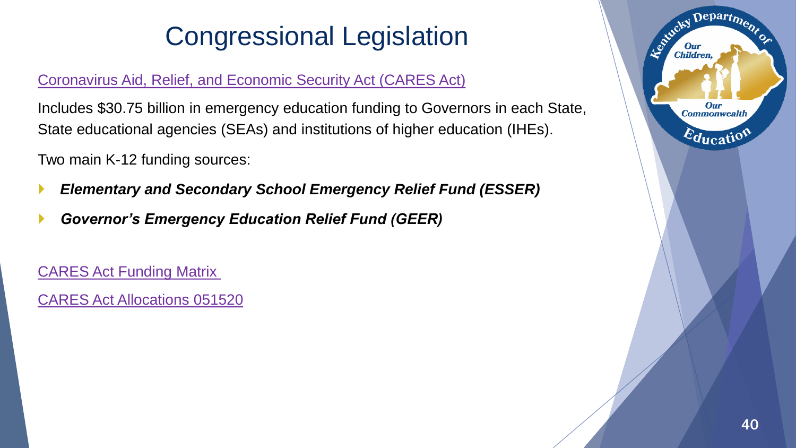### [Coronavirus Aid, Relief, and Economic Security Act \(CARES Act\)](https://www.congress.gov/bill/116th-congress/house-bill/748/text)

Includes \$30.75 billion in emergency education funding to Governors in each State, State educational agencies (SEAs) and institutions of higher education (IHEs).

Two main K-12 funding sources:

- *Elementary and Secondary School Emergency Relief Fund (ESSER)*
- *Governor's Emergency Education Relief Fund (GEER)*

[CARES Act Funding Matrix](https://education.ky.gov/districts/fin/Documents/Copy%20of%20CARES%20Act%20Funding%20Matrix%2005062020.xls)

[CARES Act Allocations 051520](https://education.ky.gov/districts/fin/Documents/CARES%20Act%20Allocations%20051520.xlsx)

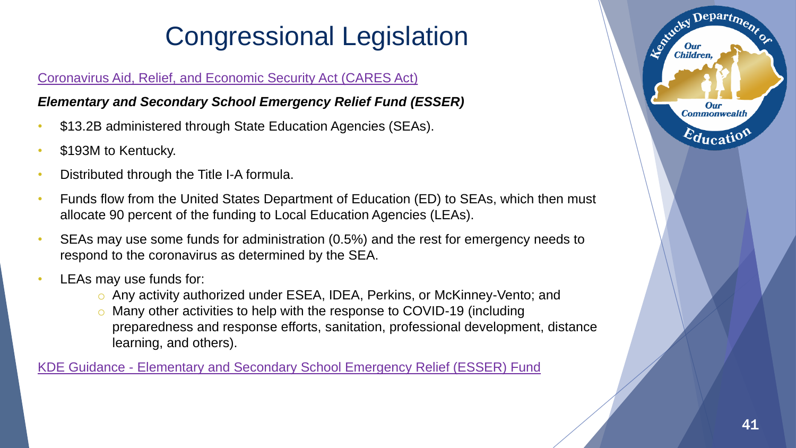### [Coronavirus Aid, Relief, and Economic Security Act \(CARES Act\)](https://www.congress.gov/bill/116th-congress/house-bill/748/text)

### *Elementary and Secondary School Emergency Relief Fund (ESSER)*

- \$13.2B administered through State Education Agencies (SEAs).
- \$193M to Kentucky.
- Distributed through the Title I-A formula.
- Funds flow from the United States Department of Education (ED) to SEAs, which then must allocate 90 percent of the funding to Local Education Agencies (LEAs).
- SEAs may use some funds for administration (0.5%) and the rest for emergency needs to respond to the coronavirus as determined by the SEA.
- LEAs may use funds for:
	- o Any activity authorized under ESEA, IDEA, Perkins, or McKinney-Vento; and
	- o Many other activities to help with the response to COVID-19 (including preparedness and response efforts, sanitation, professional development, distance learning, and others).

KDE Guidance - [Elementary and Secondary School Emergency Relief \(ESSER\) Fund](https://education.ky.gov/comm/Documents/ESSER%20Guidance%20MC_final_tkt.pdf)

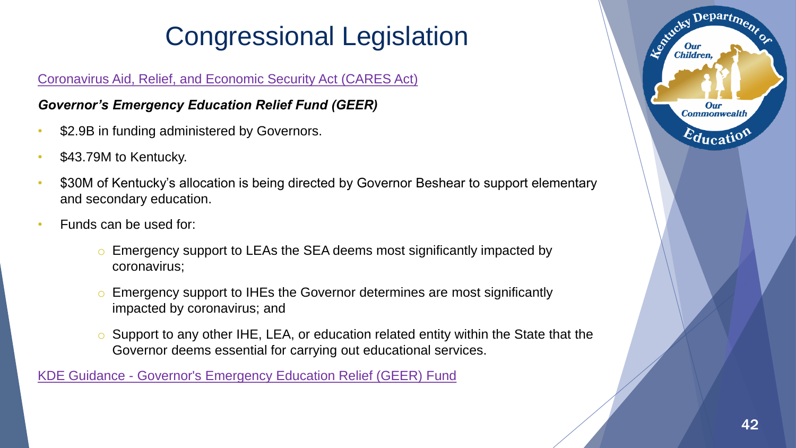### [Coronavirus Aid, Relief, and Economic Security Act \(CARES Act\)](https://www.congress.gov/bill/116th-congress/house-bill/748/text)

### *Governor's Emergency Education Relief Fund (GEER)*

- \$2.9B in funding administered by Governors.
- \$43.79M to Kentucky.
- \$30M of Kentucky's allocation is being directed by Governor Beshear to support elementary and secondary education.
- Funds can be used for:
	- o Emergency support to LEAs the SEA deems most significantly impacted by coronavirus;
	- o Emergency support to IHEs the Governor determines are most significantly impacted by coronavirus; and
	- o Support to any other IHE, LEA, or education related entity within the State that the Governor deems essential for carrying out educational services.

KDE Guidance - [Governor's Emergency Education Relief \(GEER\) Fund](https://education.ky.gov/districts/FinRept/Documents/GEER%20COVID%20Guidance%20Final%202%20mc051120.pdf)